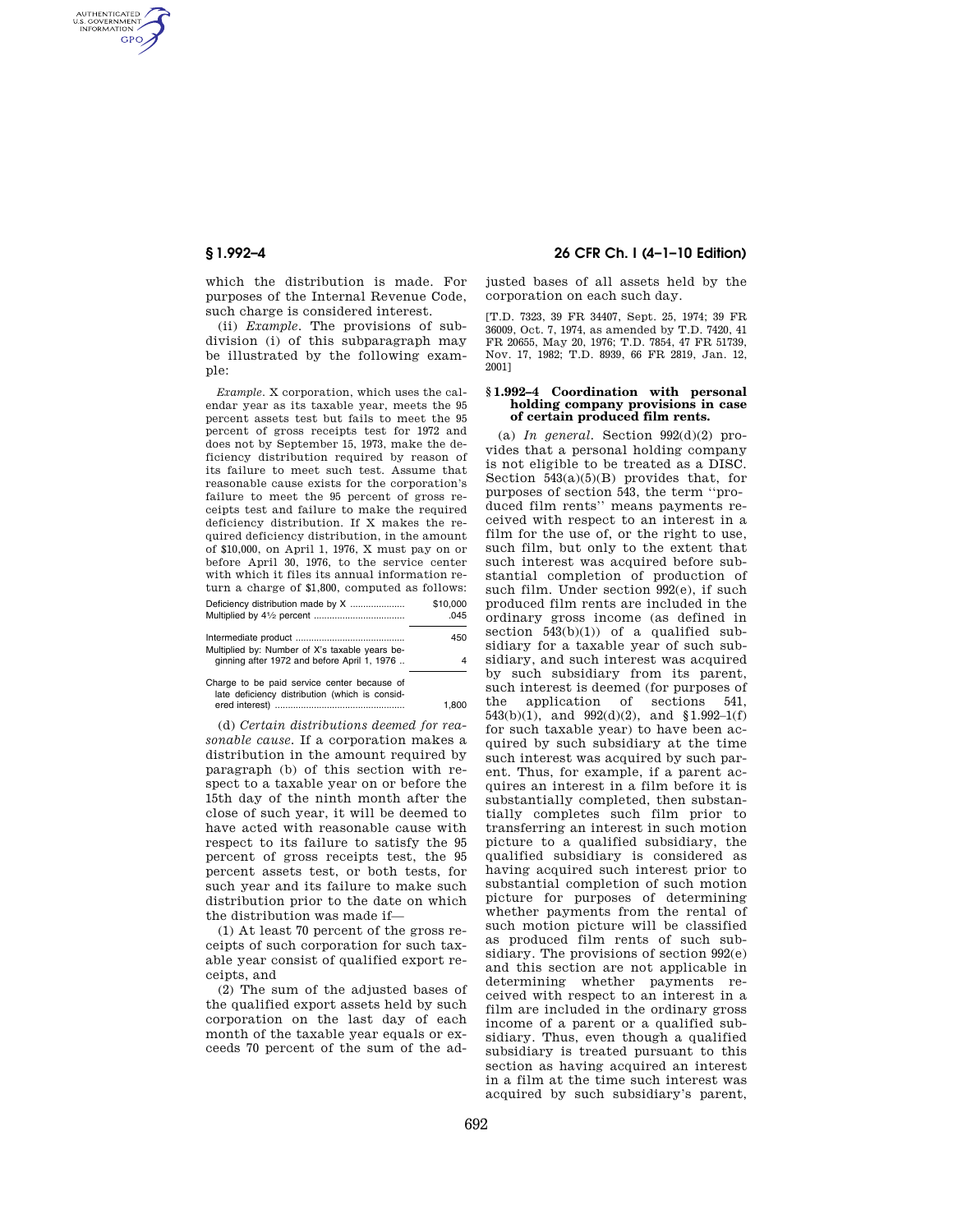AUTHENTICATED<br>U.S. GOVERNMENT<br>INFORMATION **GPO** 

> which the distribution is made. For purposes of the Internal Revenue Code, such charge is considered interest.

(ii) *Example.* The provisions of subdivision (i) of this subparagraph may be illustrated by the following example:

*Example.* X corporation, which uses the calendar year as its taxable year, meets the 95 percent assets test but fails to meet the 95 percent of gross receipts test for 1972 and does not by September 15, 1973, make the deficiency distribution required by reason of its failure to meet such test. Assume that reasonable cause exists for the corporation's failure to meet the 95 percent of gross receipts test and failure to make the required deficiency distribution. If X makes the required deficiency distribution, in the amount of \$10,000, on April 1, 1976, X must pay on or before April 30, 1976, to the service center with which it files its annual information return a charge of \$1,800, computed as follows: Deficiency distribution made by X ..................... \$10,000 Multiplied by 41/2 percent ............................ Intermediate product .......................................... 450

| $\blacksquare$                                                                                | $+0.00$ |
|-----------------------------------------------------------------------------------------------|---------|
| Multiplied by: Number of X's taxable years be-<br>ginning after 1972 and before April 1, 1976 | 4       |
| Charge to be paid service center because of<br>late deficiency distribution (which is consid- | 1.800   |
|                                                                                               |         |

(d) *Certain distributions deemed for reasonable cause.* If a corporation makes a distribution in the amount required by paragraph (b) of this section with respect to a taxable year on or before the 15th day of the ninth month after the close of such year, it will be deemed to have acted with reasonable cause with respect to its failure to satisfy the 95 percent of gross receipts test, the 95 percent assets test, or both tests, for such year and its failure to make such distribution prior to the date on which the distribution was made if—

(1) At least 70 percent of the gross receipts of such corporation for such taxable year consist of qualified export receipts, and

(2) The sum of the adjusted bases of the qualified export assets held by such corporation on the last day of each month of the taxable year equals or exceeds 70 percent of the sum of the ad-

# **§ 1.992–4 26 CFR Ch. I (4–1–10 Edition)**

justed bases of all assets held by the corporation on each such day.

[T.D. 7323, 39 FR 34407, Sept. 25, 1974; 39 FR 36009, Oct. 7, 1974, as amended by T.D. 7420, 41 FR 20655, May 20, 1976; T.D. 7854, 47 FR 51739, Nov. 17, 1982; T.D. 8939, 66 FR 2819, Jan. 12, 2001]

### **§ 1.992–4 Coordination with personal holding company provisions in case of certain produced film rents.**

(a) *In general.* Section  $992(d)(2)$  provides that a personal holding company is not eligible to be treated as a DISC. Section  $\overline{543(a)(5)(B)}$  provides that, for purposes of section 543, the term ''produced film rents'' means payments received with respect to an interest in a film for the use of, or the right to use, such film, but only to the extent that such interest was acquired before substantial completion of production of such film. Under section 992(e), if such produced film rents are included in the ordinary gross income (as defined in section  $543(b)(1)$  of a qualified subsidiary for a taxable year of such subsidiary, and such interest was acquired by such subsidiary from its parent, such interest is deemed (for purposes of the application of sections 541,  $543(b)(1)$ , and  $992(d)(2)$ , and  $$1.992-1(f)$ for such taxable year) to have been acquired by such subsidiary at the time such interest was acquired by such parent. Thus, for example, if a parent acquires an interest in a film before it is substantially completed, then substantially completes such film prior to transferring an interest in such motion picture to a qualified subsidiary, the qualified subsidiary is considered as having acquired such interest prior to substantial completion of such motion picture for purposes of determining whether payments from the rental of such motion picture will be classified as produced film rents of such subsidiary. The provisions of section 992(e) and this section are not applicable in determining whether payments received with respect to an interest in a film are included in the ordinary gross income of a parent or a qualified subsidiary. Thus, even though a qualified subsidiary is treated pursuant to this section as having acquired an interest in a film at the time such interest was acquired by such subsidiary's parent,